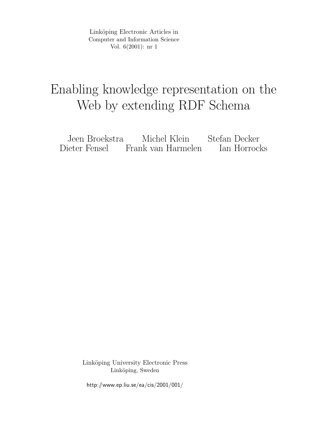Linköping Electronic Articles in Computer and Information Science Vol. 6(2001): nr 1

# Enabling knowledge representation on the Web by extending RDF Schema

Jeen Broekstra Michel Klein Stefan Decker Frank van Harmelen

> Linköping University Electronic Press Linköping, Sweden

http://www.ep.liu.se/ea/cis/2001/001/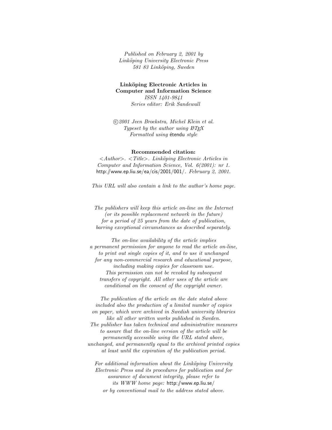Published on February 2, 2001 by Linköping University Electronic Press 581 83 Linköping, Sweden

#### Linköping Electronic Articles in Computer and Information Science ISSN 1401-9841

Series editor: Erik Sandewall

 c 2001 Jeen Broekstra, Michel Klein et al. Typeset by the author using  $BT\cancel{F}X$ Formatted using étendu style

#### Recommended citation:

 $\langle$ Author $\rangle$ .  $\langle$ Title $\rangle$ . Linköping Electronic Articles in Computer and Information Science, Vol. 6(2001): nr 1. http://www.ep.liu.se/ea/cis/2001/001/. February 2, 2001.

This URL will also contain a link to the author's home page.

The publishers will keep this article on-line on the Internet (or its possible replacement network in the future) for a period of 25 years from the date of publication, barring exceptional circumstances as described separately.

The on-line availability of the article implies a permanent permission for anyone to read the article on-line, to print out single copies of it, and to use it unchanged for any non-commercial research and educational purpose, including making copies for classroom use. This permission can not be revoked by subsequent transfers of copyright. All other uses of the article are conditional on the consent of the copyright owner.

The publication of the article on the date stated above included also the production of a limited number of copies on paper, which were archived in Swedish university libraries like all other written works published in Sweden. The publisher has taken technical and administrative measures to assure that the on-line version of the article will be permanently accessible using the URL stated above, unchanged, and permanently equal to the archived printed copies at least until the expiration of the publication period.

For additional information about the Linköping University Electronic Press and its procedures for publication and for assurance of document integrity, please refer to its WWW home page: http://www.ep.liu.se/ or by conventional mail to the address stated above.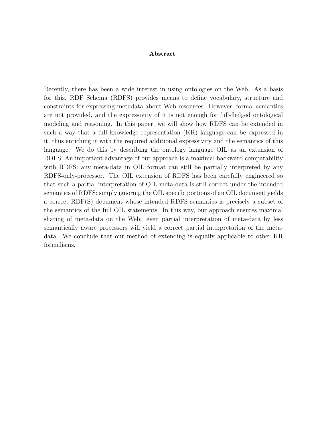#### Abstract

Recently, there has been a wide interest in using ontologies on the Web. As a basis for this, RDF Schema (RDFS) provides means to define vocabulary, structure and constraints for expressing metadata about Web resources. However, formal semantics are not provided, and the expressivity of it is not enough for full-fledged ontological modeling and reasoning. In this paper, we will show how RDFS can be extended in such a way that a full knowledge representation (KR) language can be expressed in it, thus enriching it with the required additional expressivity and the semantics of this language. We do this by describing the ontology language OIL as an extension of RDFS. An important advantage of our approach is a maximal backward compatability with RDFS: any meta-data in OIL format can still be partially interpreted by any RDFS-only-processor. The OIL extension of RDFS has been carefully engineered so that such a partial interpretation of OIL meta-data is still correct under the intended semantics of RDFS: simply ignoring the OIL specific portions of an OIL document yields a correct RDF(S) document whose intended RDFS semantics is precisely a subset of the semantics of the full OIL statements. In this way, our approach ensures maximal sharing of meta-data on the Web: even partial interpretation of meta-data by less semantically aware processors will yield a correct partial interpretation of the metadata. We conclude that our method of extending is equally applicable to other KR formalisms.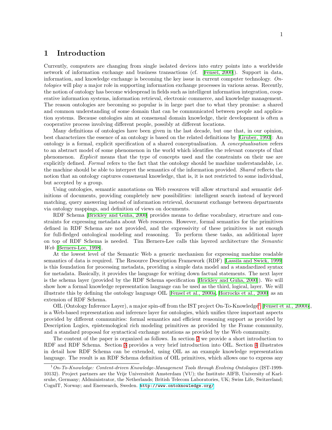# 1 Introduction

Currently, computers are changing from single isolated devices into entry points into a worldwide network of information exchange and business transactions (cf. [\[Fensel, 2000](#page-23-0)]). Support in data, information, and knowledge exchange is becoming the key issue in current computer technology. Ontologies will play a major role in supporting information exchange processes in various areas. Recently, the notion of ontology has become widespread in fields such as intelligent information integration, cooperative information systems, information retrieval, electronic commerce, and knowledge management. The reason ontologies are becoming so popular is in large part due to what they promise: a shared and common understanding of some domain that can be communicated between people and application systems. Because ontologies aim at consensual domain knowledge, their development is often a cooperative process involving different people, possibly at different locations.

Many definitions of ontologies have been given in the last decade, but one that, in our opinion, best characterizes the essence of an ontology is based on the related definitions by[[Gruber, 1993](#page-23-1)]: An ontology is a formal, explicit specification of a shared conceptualisation. A conceptualisation refers to an abstract model of some phenomenon in the world which identifies the relevant concepts of that phenomenon. Explicit means that the type of concepts used and the constraints on their use are explicitly defined. Formal refers to the fact that the ontology should be machine understandable, i.e. the machine should be able to interpret the semantics of the information provided. Shared reflects the notion that an ontology captures consensual knowledge, that is, it is not restricted to some individual, but accepted by a group.

Using ontologies, semantic annotations on Web resources will allow structural and semantic definitions of documents, providing completely new possibilities: intelligent search instead of keyword matching, query answering instead of information retrieval, document exchange between departments via ontology mappings, and definition of views on documents.

RDF Schema [\[Brickley and Guha, 2000](#page-23-2)] provides means to define vocabulary, structure and constraints for expressing metadata about Web resources. However, formal semantics for the primitives defined in RDF Schema are not provided, and the expressivity of these primitives is not enough for full-fledged ontological modeling and reasoning. To perform these tasks, an additional layer on top of RDF Schema is needed. Tim Berners-Lee calls this layered architecture the Semantic Web [[Berners-Lee, 1998](#page-23-3)].

At the lowest level of the Semantic Web a generic mechanism for expressing machine readable semantics of data is required. The Resource Description Framework (RDF) [\[Lassila and Swick, 1999](#page-23-4)] is this foundation for processing metadata, providing a simple data model and a standardized syntax for metadata. Basically, it provides the language for writing down factual statements. The next layer is the schema layer (provided by the RDF Schema specification [\[Brickley and Guha, 2000](#page-23-2)]). We will show how a formal knowledge representation language can be used as the third, logical, layer. We will illustrate this by defining the ontology language OIL [\[Fensel et al., 2000a,](#page-23-5) [Horrocks et al., 2000\]](#page-23-6) as an extension of RDF Schema.

OIL (Ontology Inference Layer), a major spin-off from the IST project On-To-Knowledge<sup>[1](#page-3-0)</sup> [[Fensel et al., 2000b\]](#page-23-7), is a Web-based representation and inference layer for ontologies, which unifies three important aspects provided by different communities: formal semantics and efficient reasoning support as provided by Description Logics, epistemological rich modeling primitives as provided by the Frame community, and a standard proposal for syntactical exchange notations as provided by the Web community.

The content of the paper is organized as follows. In section [2](#page-4-0) we provide a short introduction to RDF and RDF Schema. Section [3](#page-6-0) provides a very brief introduction into OIL. Section [4](#page-8-0) illustrates in detail how RDF Schema can be extended, using OIL as an example knowledge representation language. The result is an RDF Schema definition of OIL primitives, which allows one to express any

<span id="page-3-0"></span> $1$ On-To-Knowledge: Content-driven Knowledge-Management Tools through Evolving Ontologies (IST-1999-10132). Project partners are the Vrije Universiteit Amsterdam (VU); the Institute AIFB, University of Karlsruhe, Germany; AIdministrator, the Netherlands; British Telecom Laboratories, UK; Swiss Life, Switzerland; CognIT, Norway; and Enersearch, Sweden. <http://www.ontoknowledge.org/>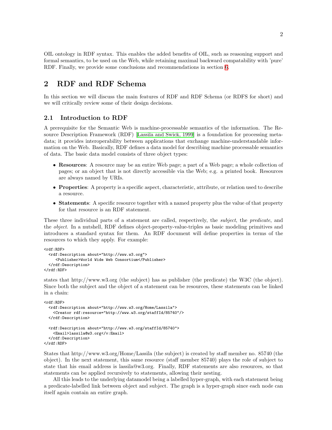OIL ontology in RDF syntax. This enables the added benefits of OIL, such as reasoning support and formal semantics, to be used on the Web, while retaining maximal backward compatability with 'pure' RDF. Finally, we provide some conclusions and recommendations in section [6](#page-21-0).

# <span id="page-4-0"></span>2 RDF and RDF Schema

In this section we will discuss the main features of RDF and RDF Schema (or RDFS for short) and we will critically review some of their design decisions.

#### 2.1 Introduction to RDF

A prerequisite for the Semantic Web is machine-processable semantics of the information. The Resource Description Framework (RDF) [\[Lassila and Swick, 1999\]](#page-23-4) is a foundation for processing metadata; it provides interoperability between applications that exchange machine-understandable information on the Web. Basically, RDF defines a data model for describing machine processable semantics of data. The basic data model consists of three object types:

- Resources: A resource may be an entire Web page; a part of a Web page; a whole collection of pages; or an object that is not directly accessible via the Web; e.g. a printed book. Resources are always named by URIs.
- Properties: A property is a specific aspect, characteristic, attribute, or relation used to describe a resource.
- Statements: A specific resource together with a named property plus the value of that property for that resource is an RDF statement.

These three individual parts of a statement are called, respectively, the subject, the predicate, and the object. In a nutshell, RDF defines object-property-value-triples as basic modeling primitives and introduces a standard syntax for them. An RDF document will define properties in terms of the resources to which they apply. For example:

```
<rdf:RDF>
  <rdf:Description about="http://www.w3.org">
     <Publisher>World Wide Web Consortium</Publisher>
 </rdf:Description>
\langlerdf:RDF>
```
states that http://www.w3.org (the subject) has as publisher (the predicate) the W3C (the object). Since both the subject and the object of a statement can be resources, these statements can be linked in a chain:

```
<rdf:RDF>
 <rdf:Description about="http://www.w3.org/Home/Lassila">
   <Creator rdf:resource="http://www.w3.org/staffId/85740"/>
 </rdf:Description>
 <rdf:Description about="http://www.w3.org/staffId/85740">
   <Email>lassila@w3.org</v:Email>
 </rdf:Description>
</rdf:RDF>
```
States that http://www.w3.org/Home/Lassila (the subject) is created by staff member no. 85740 (the object). In the next statement, this same resource (staff member 85740) plays the role of subject to state that his email address is lassila@w3.org. Finally, RDF statements are also resources, so that statements can be applied recursively to statements, allowing their nesting.

All this leads to the underlying datamodel being a labelled hyper-graph, with each statement being a predicate-labelled link between object and subject. The graph is a hyper-graph since each node can itself again contain an entire graph.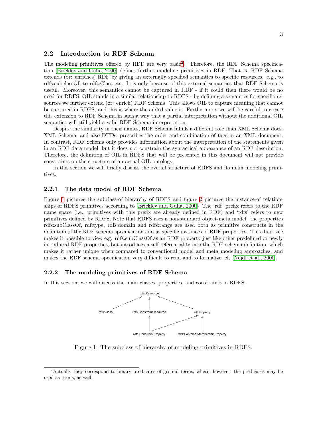#### 2.2 Introduction to RDF Schema

The modeling primitives offered by RDF are very basic<sup>[2](#page-5-0)</sup>. Therefore, the RDF Schema specification [\[Brickley and Guha, 2000\]](#page-23-2) defines further modeling primitives in RDF. That is, RDF Schema extends (or: enriches) RDF by giving an externally specified semantics to specific resources. e.g., to rdfs:subclassOf, to rdfs:Class etc. It is only because of this external semantics that RDF Schema is useful. Moreover, this semantics cannot be captured in RDF - if it could then there would be no need for RDFS. OIL stands in a similar relationship to RDFS - by defining a semantics for specific resources we further extend (or: enrich) RDF Schema. This allows OIL to capture meaning that cannot be captured in RDFS, and this is where the added value is. Furthermore, we will be careful to create this extension to RDF Schema in such a way that a partial interpretation without the additional OIL semantics will still yield a valid RDF Schema interpretation.

Despite the similarity in their names, RDF Schema fulfills a different role than XML Schema does. XML Schema, and also DTDs, prescribes the order and combination of tags in an XML document. In contrast, RDF Schema only provides information about the interpretation of the statements given in an RDF data model, but it does not constrain the syntactical appearance of an RDF description. Therefore, the definition of OIL in RDFS that will be presented in this document will not provide constraints on the structure of an actual OIL ontology.

In this section we will briefly discuss the overall structure of RDFS and its main modeling primitives.

#### <span id="page-5-2"></span>2.2.1 The data model of RDF Schema

Figure [1](#page-5-1) pictures the subclass-of hierarchy of RDFS and figure [2](#page-6-1) pictures the instance-of relationships of RDFS primitives according to[[Brickley and Guha, 2000\]](#page-23-2). The 'rdf' prefix refers to the RDF name space (i.e., primitives with this prefix are already defined in RDF) and 'rdfs' refers to new primitives defined by RDFS. Note that RDFS uses a non-standard object-meta model: the properties rdfs:subClassOf, rdf:type, rdfs:domain and rdfs:range are used both as primitive constructs in the definition of the RDF schema specification and as specific instances of RDF properties. This dual role makes it possible to view e.g. rdfs:subClassOf as an RDF property just like other predefined or newly introduced RDF properties, but introduces a self referentiality into the RDF schema definition, which makes it rather unique when compared to conventional model and meta modeling approaches, and makes the RDF schema specification very difficult to read and to formalize, cf.[[Nejdl et al., 2000](#page-24-0)].

#### 2.2.2 The modeling primitives of RDF Schema

In this section, we will discuss the main classes, properties, and constraints in RDFS.



<span id="page-5-1"></span>Figure 1: The subclass-of hierarchy of modeling primitives in RDFS.

<span id="page-5-0"></span><sup>&</sup>lt;sup>2</sup>Actually they correspond to binary predicates of ground terms, where, however, the predicates may be used as terms, as well.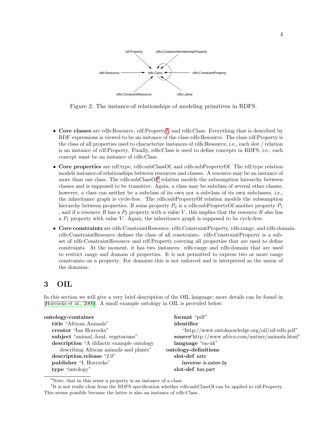

<span id="page-6-1"></span>Figure 2: The instance-of relationships of modeling primitives in RDFS.

- Core classes are rdfs: Resource, rdf: Property<sup>[3](#page-6-2)</sup>, and rdfs: Class. Everything that is described by RDF expressions is viewed to be an instance of the class rdfs:Resource. The class rdf:Property is the class of all properties used to characterize instances of rdfs:Resource, i.e., each slot / relation is an instance of rdf:Property. Finally, rdfs:Class is used to define concepts in RDFS, i.e., each concept must be an instance of rdfs:Class.
- Core properties are rdf:type, rdfs:subClassOf, and rdfs:subPropertyOf. The rdf:type relation models instance-of relationships between resources and classes. A resource may be an instance of more than one class. The rdfs:subClassOf<sup>[4](#page-6-3)</sup> relation models the subsumption hierarchy between classes and is supposed to be transitive. Again, a class may be subclass of several other classes, however, a class can neither be a subclass of its own nor a subclass of its own subclasses, i.e., the inheritance graph is cycle-free. The rdfs:subPropertyOf relation models the subsumption hierarchy between properties. If some property  $P_2$  is a rdfs:subPropertyOf another property  $P_1$ , and if a resource R has a  $P_2$  property with a value V, this implies that the resource R also has a  $P_1$  property with value V. Again, the inheritance graph is supposed to be cycle-free.
- Core constraints are rdfs:ConstraintResource, rdfs:ConstraintProperty, rdfs:range, and rdfs:domain. rdfs:ConstraintResource defines the class of all constraints. rdfs:ConstraintProperty is a subset of rdfs:ConstraintResource and rdf:Property covering all properties that are used to define constraints. At the moment, it has two instances: rdfs:range and rdfs:domain that are used to restrict range and domain of properties. It is not permitted to express two or more range constraints on a property. For domains this is not enforced and is interpreted as the union of the domains.

# <span id="page-6-0"></span>3 OIL

In this section we will give a very brief description of the OIL language; more details can be found in [[Horrocks et al., 2000](#page-23-6)]. A small example ontology in OIL is provided below.

| ontology-container                       | format "pdf"                                       |
|------------------------------------------|----------------------------------------------------|
| title "African Animals"                  | identifier                                         |
| creator "Ian Horrocks"                   | "http://www.ontoknowledge.org/oil/oil-rdfs.pdf"    |
| subject "animal, food, vegetarians"      | source thttp://www.africa.com/nature/animals.html" |
| description "A didactic example ontology | language "en-uk"                                   |
| describing African animals and plants"   | ontology-definitions                               |
| description.release "2.0"                | slot-def eats                                      |
| publisher "I. Horrocks"                  | inverse is-eaten-by                                |
| type "ontology"                          | slot-def has-part                                  |
|                                          |                                                    |

<span id="page-6-2"></span><sup>&</sup>lt;sup>3</sup>Note, that in this sense a property is an instance of a class.

<span id="page-6-3"></span><sup>4</sup> It is not really clear from the RDFS specification whether rdfs:subClassOf can be applied to rdf:Property. This seems possible because the latter is also an instance of rdfs:Class.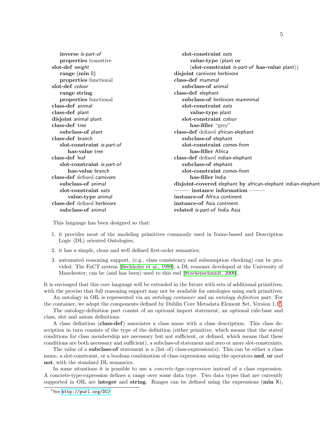| inverse is-part-of          | slot-constraint eats                                          |
|-----------------------------|---------------------------------------------------------------|
| properties transitive       | value-type (plant or                                          |
| slot-def weight             | $(slot-constraint \; is-part-of \; has-value \; plant)$       |
| range $(min 0)$             | disjoint carnivore herbivore                                  |
| properties functional       | class-def mammal                                              |
| slot-def colour             | subclass-of animal                                            |
| range string                | class-def elephant                                            |
| properties functional       | subclass-of herbivore mammmal                                 |
| class-def animal            | slot-constraint eats                                          |
| class-def plant             | value-type plant                                              |
| disjoint animal plant       | slot-constraint colour                                        |
| class-def tree              | has-filler "grey"                                             |
| subclass-of plant           | class-def defined african-elephant                            |
| class-def branch            | subclass-of elephant                                          |
| slot-constraint is-part-of  | slot-constraint comes-from                                    |
| has-value tree              | has-filler Africa                                             |
| class-def leaf              | class-def defined indian-elephant                             |
| slot-constraint is-part-of  | subclass-of elephant                                          |
| has-value branch            | slot-constraint <i>comes-from</i>                             |
| class-def defined carnivore | has-filler India                                              |
| subclass-of animal          | disjoint-covered elephant by african-elephant indian-elephant |
| slot-constraint eats        | $-$ instance information $-$                                  |
| value-type animal           | instance-of Africa continent                                  |
| class-def defined herbivore | instance-of Asia continent                                    |
| subclass-of animal          | related is-part-of India Asia                                 |
|                             |                                                               |

This language has been designed so that:

- 1. it provides most of the modeling primitives commonly used in frame-based and Description Logic (DL) oriented Ontologies;
- 2. it has a simple, clean and well defined first-order semantics;
- 3. automated reasoning support, (e.g., class consistency and subsumption checking) can be provided. The FaCT system [\[Bechhofer et al., 1999\]](#page-23-8), a DL reasoner developed at the University of Manchester, can be (and has been) used to this end [\[Stuckenschmidt, 2000\]](#page-24-1).

It is envisaged that this core language will be extended in the future with sets of additional primitives, with the proviso that full reasoning support may not be available for ontologies using such primitives.

An ontology in OIL is represented via an *ontology container* and an *ontology definition* part. For the container, we adopt the components defined by Dublin Core Metadata Element Set, Version 1.1<sup>[5](#page-7-0)</sup>.

The ontology-definition part consist of an optional import statement, an optional rule-base and class, slot and axiom definitions.

A class definition (class-def) associates a class name with a class description. This class description in turn consists of the type of the definition (either primitive, which means that the stated conditions for class membership are necessary but not sufficient, or defined, which means that these conditions are both necessary and sufficient), a subclass-of statement and zero or more slot-constraints.

The value of a subclass-of statement is a (list of) class-expression(s). This can be either a class name, a slot-constraint, or a boolean combination of class expressions using the operators and, or and not, with the standard DL semantics.

In some situations it is possible to use a *concrete-type-expression* instead of a class expression. A concrete-type-expression defines a range over some data type. Two data types that are currently supported in OIL are integer and string. Ranges can be defined using the expressions  $(\min X)$ ,

<span id="page-7-0"></span><sup>5</sup>See <http://purl.org/DC/>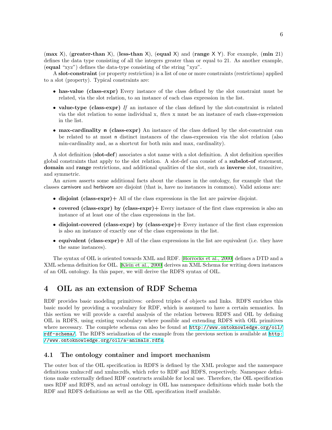(max  $X$ ), (greater-than  $X$ ), (less-than  $X$ ), (equal  $X$ ) and (range  $X$   $Y$ ). For example, (min 21) defines the data type consisting of all the integers greater than or equal to 21. As another example, (equal "xyz") defines the data-type consisting of the string "xyz".

A slot-constraint (or property restriction) is a list of one or more constraints (restrictions) applied to a slot (property). Typical constraints are:

- has-value (class-expr) Every instance of the class defined by the slot constraint must be related, via the slot relation, to an instance of each class expression in the list.
- value-type (class-expr) If an instance of the class defined by the slot-constraint is related via the slot relation to some individual x, then x must be an instance of each class-expression in the list.
- max-cardinality n (class-expr) An instance of the class defined by the slot-constraint can be related to at most n distinct instances of the class-expression via the slot relation (also min-cardinality and, as a shortcut for both min and max, cardinality).

A slot definition (slot-def) associates a slot name with a slot definition. A slot definition specifies global constraints that apply to the slot relation. A slot-def can consist of a subslot-of statement, domain and range restrictions, and additional qualities of the slot, such as inverse slot, transitive, and symmetric.

An axiom asserts some additional facts about the classes in the ontology, for example that the classes carnivore and herbivore are disjoint (that is, have no instances in common). Valid axioms are:

- disjoint (class-expr)  $+$  All of the class expressions in the list are pairwise disjoint.
- covered (class-expr) by (class-expr)+ Every instance of the first class expression is also an instance of at least one of the class expressions in the list.
- disjoint-covered (class-expr) by (class-expr) + Every instance of the first class expression is also an instance of exactly one of the class expressions in the list.
- equivalent (class-expr)+ All of the class expressions in the list are equivalent (i.e. they have the same instances).

The syntax of OIL is oriented towards XML and RDF.[[Horrocks et al., 2000\]](#page-23-6) defines a DTD and a XML schema definition for OIL. [\[Klein et al., 2000](#page-23-9)] derives an XML Schema for writing down instances of an OIL ontology. In this paper, we will derive the RDFS syntax of OIL.

## <span id="page-8-0"></span>4 OIL as an extension of RDF Schema

RDF provides basic modeling primitives: ordered triples of objects and links. RDFS enriches this basic model by providing a vocabulary for RDF, which is assumed to have a certain semantics. In this section we will provide a careful analysis of the relation between RDFS and OIL by defining OIL in RDFS, using existing vocabulary where possible and extending RDFS with OIL primitives where necessary. The complete schema can also be found at  $http://www.ontoknowledge.org/oil/$ [rdf-schema/](http://www.ontoknowledge.org/oil/rdf-schema/). The RDFS serialization of the example from the previous section is available at [http:](http://www.ontoknowledge.org/oil/a-animals.rdfs) [//www.ontoknowledge.org/oil/a-animals.rdfs](http://www.ontoknowledge.org/oil/a-animals.rdfs).

#### 4.1 The ontology container and import mechanism

The outer box of the OIL specification in RDFS is defined by the XML prologue and the namespace definitions xmlns:rdf and xmlns:rdfs, which refer to RDF and RDFS, respectively. Namespace definitions make externally defined RDF constructs available for local use. Therefore, the OIL specification uses RDF and RDFS, and an actual ontology in OIL has namespace definitions which make both the RDF and RDFS definitions as well as the OIL specification itself available.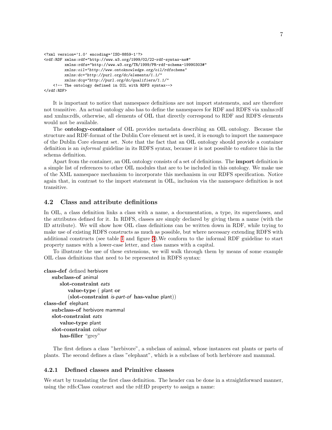```
<?xml version='1.0' encoding='ISO-8859-1'?>
<rdf:RDF xmlns:rdf="http://www.w3.org/1999/02/22-rdf-syntax-ns#"
         xmlns:rdfs="http://www.w3.org/TR/1999/PR-rdf-schema-19990303#"
         xmlns:oil="http://www.ontoknowledge.org/oil/rdfschema"
        xmlns:dc="http://purl.org/dc/elements/1.1/"
         xmlns:dcq="http://purl.org/dc/qualifiers/1.1/"
    <!-- The ontology defined in OIL with RDFS syntax-->
\langlerdf:RDF>
```
It is important to notice that namespace definitions are not import statements, and are therefore not transitive. An actual ontology also has to define the namespaces for RDF and RDFS via xmlns:rdf and xmlns:rdfs, otherwise, all elements of OIL that directly correspond to RDF and RDFS elements would not be available.

The ontology-container of OIL provides metadata describing an OIL ontology. Because the structure and RDF-format of the Dublin Core element set is used, it is enough to import the namespace of the Dublin Core element set. Note that the fact that an OIL ontology should provide a container definition is an informal guideline in its RDFS syntax, because it is not possible to enforce this in the schema definition.

Apart from the container, an OIL ontology consists of a set of definitions. The import definition is a simple list of references to other OIL modules that are to be included in this ontology. We make use of the XML namespace mechanism to incorporate this mechanism in our RDFS specification. Notice again that, in contrast to the import statement in OIL, inclusion via the namespace definition is not transitive.

#### <span id="page-9-0"></span>4.2 Class and attribute definitions

In OIL, a class definition links a class with a name, a documentation, a type, its superclasses, and the attributes defined for it. In RDFS, classes are simply declared by giving them a name (with the ID attribute). We will show how OIL class definitions can be written down in RDF, while trying to make use of existing RDFS constructs as much as possible, but where necessary extending RDFS with additional constructs (see table [1](#page-14-0) and figure [3\)](#page-10-0).We conform to the informal RDF guideline to start property names with a lower-case letter, and class names with a capital.

To illustrate the use of these extensions, we will walk through them by means of some example OIL class definitions that need to be represented in RDFS syntax:

```
class-def defined herbivore
   subclass-of animal
      slot-constraint eats
         value-type ( plant or
         (slot-constraint is-part-of has-value plant))
class-def elephant
   subclass-of herbivore mammal
   slot-constraint eats
      value-type plant
   slot-constraint colour
      has-filler "grey"
```
The first defines a class "herbivore", a subclass of animal, whose instances eat plants or parts of plants. The second defines a class "elephant", which is a subclass of both herbivore and mammal.

#### 4.2.1 Defined classes and Primitive classes

We start by translating the first class definition. The header can be done in a straightforward manner, using the rdfs:Class construct and the rdf:ID property to assign a name: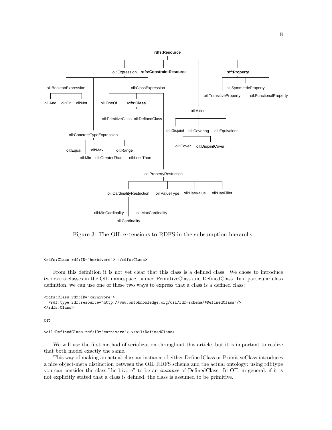

<span id="page-10-0"></span>Figure 3: The OIL extensions to RDFS in the subsumption hierarchy.

#### <rdfs:Class rdf:ID="herbivore"> </rdfs:Class>

From this definition it is not yet clear that this class is a defined class. We chose to introduce two extra classes in the OIL namespace, named PrimitiveClass and DefinedClass. In a particular class definition, we can use one of these two ways to express that a class is a defined class:

```
<rdfs:Class rdf:ID="carnivore">
  <rdf:type rdf:resource="http://www.ontoknowledge.org/oil/rdf-schema/#DefinedClass"/>
</rdfs:Class>
```
or:

```
<oil:DefinedClass rdf:ID="carnivore"> </oil:DefinedClass>
```
We will use the first method of serialization throughout this article, but it is important to realize that both model exactly the same.

This way of making an actual class an instance of either DefinedClass or PrimitiveClass introduces a nice object-meta distinction between the OIL RDFS schema and the actual ontology: using rdf:type you can consider the class "herbivore" to be an instance of DefinedClass. In OIL in general, if it is not explicitly stated that a class is defined, the class is assumed to be primitive.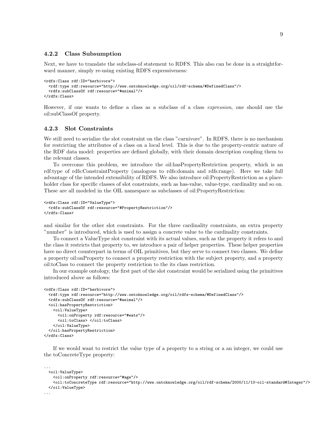#### 4.2.2 Class Subsumption

Next, we have to translate the subclass-of statement to RDFS. This also can be done in a straightforward manner, simply re-using existing RDFS expressiveness:

```
<rdfs:Class rdf:ID="herbivore">
  <rdf:type rdf:resource="http://www.ontoknowledge.org/oil/rdf-schema/#DefinedClass"/>
 <rdfs:subClassOf rdf:resource="#animal"/>
</rdfs:Class>
```
However, if one wants to define a class as a subclass of a class expression, one should use the oil:subClassOf property.

#### 4.2.3 Slot Constraints

We still need to serialize the slot constraint on the class "carnivore". In RDFS, there is no mechanism for restricting the attributes of a class on a local level. This is due to the property-centric nature of the RDF data model: properties are defined globally, with their domain description coupling them to the relevant classes.

To overcome this problem, we introduce the oil:hasPropertyRestriction property, which is an rdf:type of rdfs:ConstraintProperty (analogous to rdfs:domain and rdfs:range). Here we take full advantage of the intended extensibility of RDFS. We also introduce oil:PropertyRestriction as a placeholder class for specific classes of slot constraints, such as has-value, value-type, cardinality and so on. These are all modeled in the OIL namespace as subclasses of oil:PropertyRestriction:

```
<rdfs:Class rdf:ID="ValueType">
  <rdfs:subClassOf rdf:resource="#PropertyRestriction"/>
</rdfs:Class>
```
and similar for the other slot constraints. For the three cardinality constraints, an extra property "number" is introduced, which is used to assign a concrete value to the cardinality constraints.

To connect a ValueType slot constraint with its actual values, such as the property it refers to and the class it restricts that property to, we introduce a pair of helper properties. These helper properties have no direct counterpart in terms of OIL primitives, but they serve to connect two classes. We define a property oil:onProperty to connect a property restriction with the subject property, and a property oil:toClass to connect the property restriction to the its class restriction.

In our example ontology, the first part of the slot constraint would be serialized using the primitives introduced above as follows:

```
<rdfs:Class rdf:ID="herbivore">
 <rdf:type rdf:resource="http://www.ontoknowledge.org/oil/rdfs-schema/#DefinedClass"/>
 <rdfs:subClassOf rdf:resource="#animal"/>
 <oil:hasPropertyRestriction>
   <oil:ValueType>
     <oil:onProperty rdf:resource="#eats"/>
     <oil:toClass> </oil:toClass>
   </oil:ValueType>
 </oil:hasPropertyRestriction>
</rdfs:Class>
```
If we would want to restrict the value type of a property to a string or a an integer, we could use the toConcreteType property:

```
...
 <oil:ValueType>
   <oil:onProperty rdf:resource="#age"/>
   <oil:toConcreteType rdf:resource="http://www.ontoknowledge.org/oil/rdf-schema/2000/11/10-oil-standard#Integer"/>
 </oil:ValueType>
...
```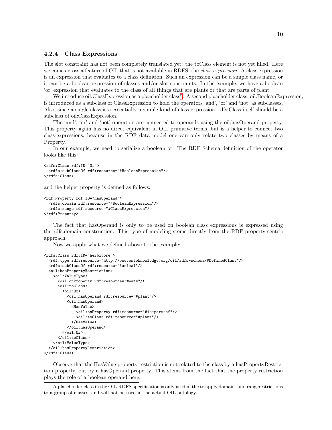#### 4.2.4 Class Expressions

The slot constraint has not been completely translated yet: the toClass element is not yet filled. Here we come across a feature of OIL that is not available in RDFS: the *class expression*. A class expression is an expression that evaluates to a class definition. Such an expression can be a simple class name, or it can be a boolean expression of classes and/or slot constraints. In the example, we have a boolean 'or' expression that evaluates to the class of all things that are plants or that are parts of plant.

We introduce oil:ClassExpression as a placeholder class<sup>[6](#page-12-0)</sup>. A second placeholder class, oil:BooleanExpression, is introduced as a subclass of ClassExpression to hold the operators 'and', 'or' and 'not' as subclasses. Also, since a single class is a essentially a simple kind of class-expression, rdfs:Class itself should be a subclass of oil:ClassExpression.

The 'and', 'or' and 'not' operators are connected to operands using the oil:hasOperand property. This property again has no direct equivalent in OIL primitive terms, but is a helper to connect two class-expressions, because in the RDF data model one can only relate two classes by means of a Property.

In our example, we need to serialize a boolean or. The RDF Schema definition of the operator looks like this:

```
<rdfs:Class rdf:ID="Or">
 <rdfs:subClassOf rdf:resource="#BooleanExpression"/>
</rdfs:Class>
```
and the helper property is defined as follows:

```
<rdf:Property rdf:ID="hasOperand">
  <rdfs:domain rdf:resource="#BooleanExpression"/>
  <rdfs:range rdf:resource="#ClassExpression"/>
</rdf:Property>
```
The fact that hasOperand is only to be used on boolean class expressions is expressed using the rdfs:domain construction. This type of modeling stems directly from the RDF property-centric approach.

Now we apply what we defined above to the example:

```
<rdfs:Class rdf:ID="herbivore">
  <rdf:type rdf:resource="http://www.ontoknowledge.org/oil/rdfs-schema/#DefinedClass"/>
  <rdfs:subClassOf rdf:resource="#animal"/>
  <oil:hasPropertyRestriction>
    <oil:ValueType>
      <oil:onProperty rdf:resource="#eats"/>
      <oil:toClass>
        \langleoil:0r<oil:hasOperand rdf:resource="#plant"/>
          <oil:hasOperand>
            <HasValue>
              <oil:onProperty rdf:resource="#is-part-of"/>
              <oil:toClass rdf:resource="#plant"/>
            </HasValue>
          </oil:hasOperand>
        \langle/oil:Or>
      </oil:toClass>
    </oil:ValueType>
  </oil:hasPropertyRestriction>
\langlerdfs:Class>
```
Observe that the HasValue property restriction is not related to the class by a hasPropertyRestriction property, but by a hasOperand property. This stems from the fact that the property restriction plays the role of a boolean operand here.

<span id="page-12-0"></span><sup>&</sup>lt;sup>6</sup>A placeholder class in the OIL RDFS specification is only used in the to apply domain- and rangerestrictions to a group of classes, and will not be used in the actual OIL ontology.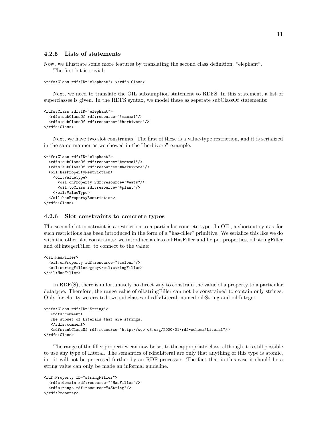#### 4.2.5 Lists of statements

Now, we illustrate some more features by translating the second class definition, "elephant". The first bit is trivial:

```
<rdfs:Class rdf:ID="elephant"> </rdfs:Class>
```
Next, we need to translate the OIL subsumption statement to RDFS. In this statement, a list of superclasses is given. In the RDFS syntax, we model these as seperate subClassOf statements:

```
<rdfs:Class rdf:ID="elephant">
  <rdfs:subClassOf rdf:resource="#mammal"/>
  <rdfs:subClassOf rdf:resource="#herbivore"/>
</rdfs:Class>
```
Next, we have two slot constraints. The first of these is a value-type restriction, and it is serialized in the same manner as we showed in the "herbivore" example:

```
<rdfs:Class rdf:ID="elephant">
 <rdfs:subClassOf rdf:resource="#mammal"/>
 <rdfs:subClassOf rdf:resource="#herbivore"/>
 <oil:hasPropertyRestriction>
   <oil:ValueType>
     <oil:onProperty rdf:resource="#eats"/>
     <oil:toClass rdf:resource="#plant"/>
   </oil:ValueType>
  </oil:hasPropertyRestriction>
</rdfs:Class>
```
#### 4.2.6 Slot constraints to concrete types

The second slot constraint is a restriction to a particular concrete type. In OIL, a shortcut syntax for such restrictions has been introduced in the form of a "has-filler" primitive. We serialize this like we do with the other slot constraints: we introduce a class oil: HasFiller and helper properties, oil: stringFiller and oil:integerFiller, to connect to the value:

```
<oil:HasFiller>
 <oil:onProperty rdf:resource="#colour"/>
  <oil:stringFiller>grey</oil:stringFiller>
</oil:HasFiller>
```
In RDF(S), there is unfortunately no direct way to constrain the value of a property to a particular datatype. Therefore, the range value of oil:stringFiller can not be constrained to contain only strings. Only for clarity we created two subclasses of rdfs:Literal, named oil:String and oil:Integer.

```
<rdfs:Class rdf:ID="String">
  <rdfs:comment>
  The subset of Literals that are strings.
  </rdfs:comment>
   <rdfs:subClassOf rdf:resource="http://www.w3.org/2000/01/rdf-schema#Literal"/>
</rdfs:Class>
```
The range of the filler properties can now be set to the appropriate class, although it is still possible to use any type of Literal. The semantics of rdfs:Literal are only that anything of this type is atomic, i.e. it will not be processed further by an RDF processor. The fact that in this case it should be a string value can only be made an informal guideline.

```
<rdf:Property ID="stringFiller">
 <rdfs:domain rdf:resource="#HasFiller"/>
  <rdfs:range rdf:resource="#String"/>
</rdf:Property>
```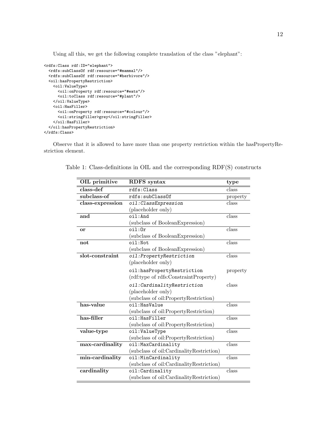Using all this, we get the following complete translation of the class "elephant":

```
<rdfs:Class rdf:ID="elephant">
  <rdfs:subClassOf rdf:resource="#mammal"/>
  <rdfs:subClassOf rdf:resource="#herbivore"/>
  <oil:hasPropertyRestriction>
   <oil:ValueType>
      <oil:onProperty rdf:resource="#eats"/>
      <oil:toClass rdf:resource="#plant"/>
    </oil:ValueType>
    <oil:HasFiller>
      <oil:onProperty rdf:resource="#colour"/>
      <oil:stringFiller>grey</oil:stringFiller>
    </oil:HasFiller>
  </oil:hasPropertyRestriction>
\langlerdfs:Class>
```
Observe that it is allowed to have more than one property restriction within the hasPropertyRestriction element.

<span id="page-14-0"></span>

| <b>OIL</b> primitive | <b>RDFS</b> syntax                       | type     |
|----------------------|------------------------------------------|----------|
| $class-def$          | rdfs:Class                               | class    |
| subclass-of          | rdfs:subClassOf                          | property |
| class-expression     | oil: ClassExpression                     | class    |
|                      | (placeholder only)                       |          |
| and                  | oil:And                                  | class    |
|                      | (subclass of BooleanExpression)          |          |
| or                   | oil:Or                                   | class    |
|                      | (subclass of BooleanExpression)          |          |
| not                  | oil:Not                                  | class    |
|                      | (subclass of BooleanExpression)          |          |
| slot-constraint      | oil:PropertyRestriction                  | class    |
|                      | (placeholder only)                       |          |
|                      | oil:hasPropertyRestriction               | property |
|                      | (rdf:type of rdfs:ConstraintProperty)    |          |
|                      | oil:CardinalityRestriction               | class    |
|                      | (placeholder only)                       |          |
|                      | (subclass of oil:PropertyRestriction)    |          |
| has-value            | oil:HasValue                             | class    |
|                      | (subclass of oil:PropertyRestriction)    |          |
| has-filler           | oil:HasFiller                            | class    |
|                      | (subclass of oil:PropertyRestriction)    |          |
| value-type           | oil:ValueType                            | class    |
|                      | (subclass of oil:PropertyRestriction)    |          |
| max-cardinality      | oil: MaxCardinality                      | class    |
|                      | (subclass of oil:CardinalityRestriction) |          |
| min-cardinality      | oil:MinCardinality                       | class    |
|                      | (subclass of oil:CardinalityRestriction) |          |
| cardinality          | oil:Cardinality                          | class    |
|                      | (subclass of oil:CardinalityRestriction) |          |

Table 1: Class-definitions in OIL and the corresponding RDF(S) constructs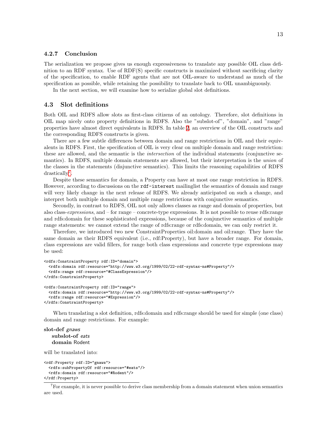#### 4.2.7 Conclusion

The serialization we propose gives us enough expressiveness to translate any possible OIL class definition to an RDF syntax. Use of RDF(S) specific constructs is maximized without sacrificing clarity of the specification, to enable RDF agents that are not OIL-aware to understand as much of the specification as possible, while retaining the possibility to translate back to OIL unambiguously.

In the next section, we will examine how to serialize global slot definitions.

#### 4.3 Slot definitions

Both OIL and RDFS allow slots as first-class citizens of an ontology. Therefore, slot definitions in OIL map nicely onto property definitions in RDFS. Also the "subslot-of", "domain", and "range" properties have almost direct equivalents in RDFS. In table [2,](#page-17-0) an overview of the OIL constructs and the corresponding RDFS constructs is given.

There are a few subtle differences between domain and range restrictions in OIL and their equivalents in RDFS. First, the specification of OIL is very clear on multiple domain and range restriction: these are allowed, and the semantic is the *intersection* of the individual statements (conjunctive semantics). In RDFS, multiple domain statements are allowed, but their interpretation is the union of the classes in the statements (disjunctive semantics). This limits the reasoning capabilities of RDFS drastically<sup>[7](#page-15-0)</sup>.

Despite these semantics for domain, a Property can have at most one range restriction in RDFS. However, according to discussions on the rdf-interest mailinglist the semantics of domain and range will very likely change in the next release of RDFS. We already anticipated on such a change, and interpret both multiple domain and multiple range restrictions with conjunctive semantics.

Secondly, in contrast to RDFS, OIL not only allows classes as range and domain of properties, but also class- $expressions$ , and – for range – concrete-type expressions. It is not possible to reuse rdfs: range and rdfs:domain for these sophisticated expressions, because of the conjunctive semantics of multiple range statements: we cannot extend the range of rdfs:range or rdfs:domain, we can only restrict it.

Therefore, we introduced two new ConstraintProperties oil:domain and oil:range. They have the same domain as their RDFS equivalent (i.e., rdf:Property), but have a broader range. For domain, class expressions are valid fillers, for range both class expressions and concrete type expressions may be used:

```
<rdfs:ConstraintProperty rdf:ID="domain">
  <rdfs:domain rdf:resource="http://www.w3.org/1999/02/22-rdf-syntax-ns#Property"/>
 <rdfs:range rdf:resource="#ClassExpression"/>
</rdfs:ConstraintProperty>
<rdfs:ConstraintProperty rdf:ID="range">
  <rdfs:domain rdf:resource="http://www.w3.org/1999/02/22-rdf-syntax-ns#Property"/>
  <rdfs:range rdf:resource="#Expression"/>
```
</rdfs:ConstraintProperty>

When translating a slot definition, rdfs:domain and rdfs:range should be used for simple (one class) domain and range restrictions. For example:

slot-def gnaws subslot-of eats domain Rodent

will be translated into:

```
<rdf:Property rdf:ID="gnaws">
  <rdfs:subPropertyOf rdf:resource="#eats"/>
  <rdfs:domain rdf:resource="#Rodent"/>
</rdf:Property>
```
<span id="page-15-0"></span> $7$ For example, it is never possible to derive class membership from a domain statement when union semantics are used.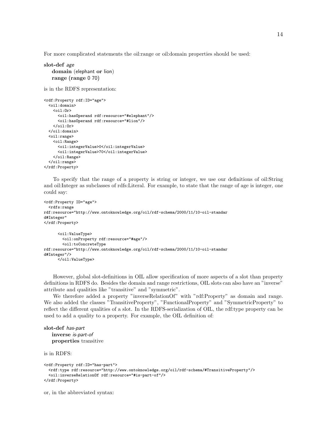For more complicated statements the oil:range or oil:domain properties should be used:

```
slot-def age
   domain (elephant or lion)
   range (range 0 70)
is in the RDFS representation:
<rdf:Property rdf:ID="age">
  <oil:domain>
    \langleoil:Or\rangle<oil:hasOperand rdf:resource="#elephant"/>
      <oil:hasOperand rdf:resource="#lion"/>
    \langle/oil:Or>
  </oil:domain>
  <oil:range>
    <oil:Range>
      <oil:integerValue>0</oil:integerValue>
      <oil:integerValue>70</oil:integerValue>
    </oil:Range>
  </oil:range>
</rdf:Property>
```
To specify that the range of a property is string or integer, we use our definitions of oil:String and oil:Integer as subclasses of rdfs:Literal. For example, to state that the range of age is integer, one could say:

```
<rdf:Property ID="age">
  <rdfs:range
rdf:resource="http://www.ontoknowledge.org/oil/rdf-schema/2000/11/10-oil-standar
d#Integer"
</rdf:Property>
      <oil:ValueType>
       <oil:onProperty rdf:resource="#age"/>
        <oil:toConcreteType
rdf:resource="http://www.ontoknowledge.org/oil/rdf-schema/2000/11/10-oil-standar
d#Integer"/>
      </oil:ValueType>
```
However, global slot-definitions in OIL allow specification of more aspects of a slot than property definitions in RDFS do. Besides the domain and range restrictions, OIL slots can also have an "inverse" attribute and qualities like "transitive" and "symmetric".

We therefore added a property "inverseRelationOf" with "rdf:Property" as domain and range. We also added the classes "TransitiveProperty", "FunctionalProperty" and "SymmetricProperty" to reflect the different qualities of a slot. In the RDFS-serialization of OIL, the rdf:type property can be used to add a quality to a property. For example, the OIL definition of:

```
slot-def has-part
   inverse is-part-of
   properties transitive
```
is in RDFS:

```
<rdf:Property rdf:ID="has-part">
 <rdf:type rdf:resource="http://www.ontoknowledge.org/oil/rdf-schema/#TransitiveProperty"/>
  <oil:inverseRelationOf rdf:resource="#is-part-of"/>
</rdf:Property>
```
or, in the abbreviated syntax: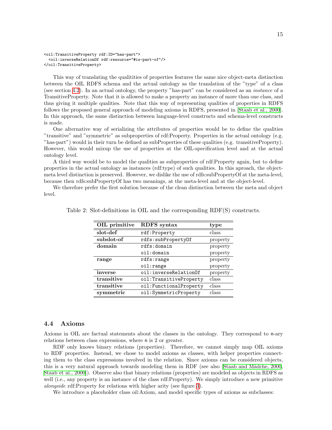```
<oil:TransitiveProperty rdf:ID="has-part">
 <oil:inverseRelationOf rdf:resource="#is-part-of"/>
</oil:TransitiveProperty>
```
This way of translating the qualitities of properties features the same nice object-meta distinction between the OIL RDFS schema and the actual ontology as the translation of the "type" of a class (see section [4.2](#page-9-0)). In an actual ontology, the property "has-part" can be considered as an instance of a TransitiveProperty. Note that it is allowed to make a property an instance of more than one class, and thus giving it multiple qualities. Note that this way of representing qualities of properties in RDFS follows the proposed general approach of modeling axioms in RDFS, presented in [\[Staab et al., 2000](#page-24-2)]. In this approach, the same distinction between language-level constructs and schema-level constructs is made.

One alternative way of serializing the attributes of properties would be to define the qualities "transitive" and "symmetric" as subproperties of rdf:Property. Properties in the actual ontology (e.g. "has-part") would in their turn be defined as subProperties of these qualities (e.g. transitiveProperty). However, this would mixup the use of properties at the OIL-specification level and at the actual ontology level.

A third way would be to model the qualities as subproperties of rdf:Property again, but to define properties in the actual ontology as instances (rdf:type) of such qualities. In this aproach, the objectmeta level distinction is preserved. However, we dislike the use of rdfs:subPropertyOf at the meta-level, because then rdfs:subPropertyOf has two meanings, at the meta-level and at the object-level.

We therefore prefer the first solution because of the clean distinction between the meta and object level.

<span id="page-17-0"></span>

| OIL primitive | RDFS syntax            | type     |
|---------------|------------------------|----------|
| slot-def      | rdf: Property          | class    |
| subslot-of    | rdfs:subPropertyOf     | property |
| domain        | rdfs:domain            | property |
|               | oil:domain             | property |
| range         | rdfs:range             | property |
|               | oil:range              | property |
| inverse       | oil:inverseRelationOf  | property |
| transitive    | oil:TransitiveProperty | class    |
| transitive    | oil:FunctionalProperty | class    |
| symmetric     | oil:SymmetricProperty  | class    |

Table 2: Slot-definitions in OIL and the corresponding RDF(S) constructs.

#### 4.4 Axioms

Axioms in OIL are factual statements about the classes in the ontology. They correspond to n-ary relations between class expressions, where n is 2 or greater.

RDF only knows binary relations (properties). Therefore, we cannot simply map OIL axioms to RDF properties. Instead, we chose to model axioms as classes, with helper properties connecting them to the class expressions involved in the relation. Since axioms can be considered objects, thisis a very natural approach towards modeling them in RDF (see also [Staab and Mädche, 2000, [Staab et al., 2000](#page-24-2)]). Observe also that binary relations (properties) are modeled as objects in RDFS as well (i.e., any property is an instance of the class rdf:Property). We simply introduce a new primitive alongside rdf:Property for relations with higher arity (see figure [3](#page-10-0)).

We introduce a placeholder class oil: Axiom, and model specific types of axioms as subclasses: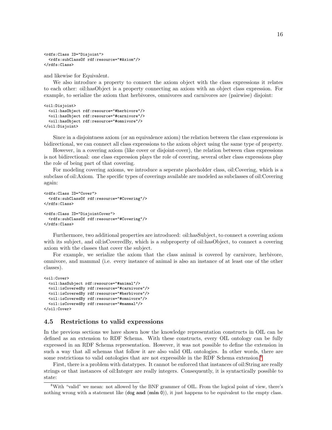```
<rdfs:Class ID="Disjoint">
  <rdfs:subClassOf rdf:resource="#Axiom"/>
</rdfs:Class>
```
and likewise for Equivalent.

We also introduce a property to connect the axiom object with the class expressions it relates to each other: oil:hasObject is a property connecting an axiom with an object class expression. For example, to serialize the axiom that herbivores, omnivores and carnivores are (pairwise) disjoint:

```
<oil:Disjoint>
 <oil:hasObject rdf:resource="#herbivore"/>
 <oil:hasObject rdf:resource="#carnivore"/>
 <oil:hasObject rdf:resource="#omnivore"/>
</oil:Disjoint>
```
Since in a disjointness axiom (or an equivalence axiom) the relation between the class expressions is bidirectional, we can connect all class expressions to the axiom object using the same type of property.

However, in a covering axiom (like cover or disjoint-cover), the relation between class expressions is not bidirectional: one class expression plays the role of covering, several other class expressions play the role of being part of that covering.

For modeling covering axioms, we introduce a seperate placeholder class, oil:Covering, which is a subclass of oil:Axiom. The specific types of coverings available are modeled as subclasses of oil:Covering again:

```
<rdfs:Class ID="Cover">
  <rdfs:subClassOf rdf:resource="#Covering"/>
</rdfs:Class>
<rdfs:Class ID="DisjointCover">
```

```
<rdfs:subClassOf rdf:resource="#Covering"/>
</rdfs:Class>
```
Furthermore, two additional properties are introduced: oil:hasSubject, to connect a covering axiom with its subject, and oil: isCoveredBy, which is a subproperty of oil: hasObject, to connect a covering axiom with the classes that cover the subject.

For example, we serialize the axiom that the class animal is covered by carnivore, herbivore, omnivore, and mammal (i.e. every instance of animal is also an instance of at least one of the other classes).

```
<oil:Cover>
  <oil:hasSubject rdf:resource="#animal"/>
  <oil:isCoveredBy rdf:resource="#carnivore"/>
  <oil:isCoveredBy rdf:resource="#herbivore"/>
  <oil:isCoveredBy rdf:resource="#omnivore"/>
  <oil:isCoveredBy rdf:resource="#mammal"/>
</oil:Cover>
```
#### 4.5 Restrictions to valid expressions

In the previous sections we have shown how the knowledge representation constructs in OIL can be defined as an extension to RDF Schema. With these constructs, every OIL ontology can be fully expressed in an RDF Schema representation. However, it was not possible to define the extension in such a way that all schemas that follow it are also valid OIL ontologies. In other words, there are some restrictions to valid ontologies that are not expressible in the RDF Schema extension.<sup>[8](#page-18-0)</sup>

First, there is a problem with datatypes. It cannot be enforced that instances of oil:String are really strings or that instances of oil:Integer are really integers. Consequently, it is syntactically possible to state:

<span id="page-18-0"></span><sup>8</sup>With "valid" we mean: not allowed by the BNF grammer of OIL. From the logical point of view, there's nothing wrong with a statement like  $(\text{dog and } (\text{min 0}))$ , it just happens to be equivalent to the empty class.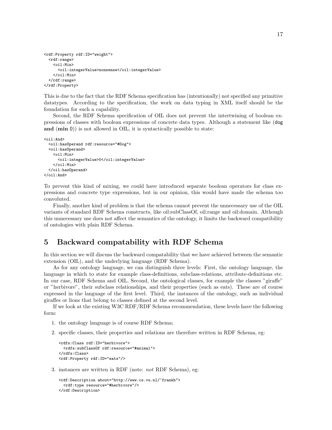```
<rdf:Property rdf:ID="weight">
  <rdf:range>
    <oil:Min>
      <oil:integerValue>nonsense</oil:integerValue>
    </oil:Min>
  </rdf:range>
</rdf:Property>
```
This is due to the fact that the RDF Schema specification has (intentionally) not specified any primitive datatypes. According to the specification, the work on data typing in XML itself should be the foundation for such a capability.

Second, the RDF Schema specification of OIL does not prevent the intertwining of boolean expressions of classes with boolean expressions of concrete data types. Although a statement like (dog and  $(\min 0)$  is not allowed in OIL, it is syntactically possible to state:

```
<oil:And>
  <oil:hasOperand rdf:resource="#Dog">
  <oil:hasOperand>
    <oil:Min>
     <oil:integerValue>0</oil:integerValue>
    </oil:Min>
  </oil:hasOperand>
</oil:And>
```
To prevent this kind of mixing, we could have introduced separate boolean operators for class expressions and concrete type expressions, but in our opinion, this would have made the schema too convoluted.

Finally, another kind of problem is that the schema cannot prevent the unnecessary use of the OIL variants of standard RDF Schema constructs, like oil:subClassOf, oil:range and oil:domain. Although this unnecessary use does not affect the semantics of the ontology, it limits the backward compatibility of ontologies with plain RDF Schema.

# 5 Backward compatability with RDF Schema

In this section we will discuss the backward compatability that we have achieved between the semantic extension (OIL), and the underlying language (RDF Schema).

As for any ontology language, we can distinguish three levels: First, the ontology language, the language in which to state for example class-definitions, subclass-relations, attribute-definitions etc. In our case, RDF Schema and OIL. Second, the ontological classes, for example the classes "giraffe" or "herbivore", their subclass relationships, and their properties (such as eats). These are of course expressed in the language of the first level. Third, the instances of the ontology, such as individual giraffes or lions that belong to classes defined at the second level.

If we look at the existing W3C RDF/RDF Schema recommendation, these levels have the following form:

- 1. the ontology language is of course RDF Schema;
- <span id="page-19-0"></span>2. specific classes, their properties and relations are therefore written in RDF Schema, eg:

```
<rdfs:Class rdf:ID="herbivore">
  <rdfs:subClassOf rdf:resource="#animal">
</rdfs:Class>
<rdf:Property rdf:ID="eats"/>
```
3. instances are written in RDF (note: not RDF Schema), eg:

```
<rdf:Description about="http://www.cs.vu.nl/~frankh">
  <rdf:type resource="#herbivore"/>
</rdf:Description>
```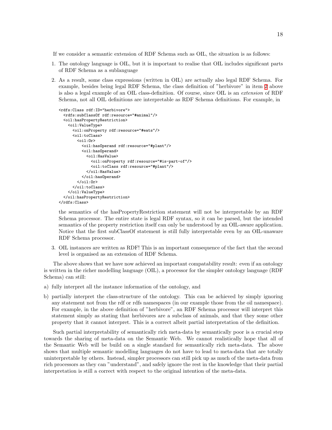If we consider a semantic extension of RDF Schema such as OIL, the situation is as follows:

- 1. The ontology language is OIL, but it is important to realise that OIL includes significant parts of RDF Schema as a sublanguage
- 2. As a result, some class expressions (written in OIL) are actually also legal RDF Schema. For example, besides being legal RDF Schema, the class definition of "herbivore" in item [2](#page-19-0) above is also a legal example of an OIL class-definition. Of course, since OIL is an extension of RDF Schema, not all OIL definitions are interpretable as RDF Schema definitions. For example, in

```
<rdfs:Class rdf:ID="herbivore">
  <rdfs:subClassOf rdf:resource="#animal"/>
  <oil:hasPropertyRestriction>
    <oil:ValueType>
      <oil:onProperty rdf:resource="#eats"/>
      <oil:toClass>
        \langleoil:Or\rangle<oil:hasOperand rdf:resource="#plant"/>
          <oil:hasOperand>
            <oil:HasValue>
              <oil:onProperty rdf:resource="#is-part-of"/>
               <oil:toClass rdf:resource="#plant"/>
            </oil:HasValue>
          </oil:hasOperand>
        \langle/oil:Or>
      </oil:toClass>
    </oil:ValueType>
  </oil:hasPropertyRestriction>
</rdfs:Class>
```
the semantics of the hasPropertyRestriction statement will not be interpretable by an RDF Schema processor. The entire state is legal RDF syntax, so it can be parsed, but the intended semantics of the property restriction itself can only be understood by an OIL-aware application. Notice that the first subClassOf statement is still fully interpretable even by an OIL-unaware RDF Schema processor.

3. OIL instances are written as RDF! This is an important consequence of the fact that the second level is organised as an extension of RDF Schema.

The above shows that we have now achieved an important compatability result: even if an ontology is written in the richer modelling language (OIL), a processor for the simpler ontology language (RDF Schema) can still:

- a) fully interpret all the instance information of the ontology, and
- b) partially interpret the class-structure of the ontology. This can be achieved by simply ignoring any statement not from the rdf or rdfs namespaces (in our example those from the oil namespace). For example, in the above definition of "herbivore", an RDF Schema processor will interpret this statement simply as stating that herbivores are a subclass of animals, and that they some other property that it cannot interpret. This is a correct albeit partial interpretation of the definition.

Such partial interpretability of semantically rich meta-data by semantically poor is a crucial step towards the sharing of meta-data on the Semantic Web. We cannot realistically hope that all of the Semantic Web will be build on a single standard for semantically rich meta-data. The above shows that multiple semantic modelling languages do not have to lead to meta-data that are totally uninterpretable by others. Instead, simpler processors can still pick up as much of the meta-data from rich processors as they can "understand", and safely ignore the rest in the knowledge that their partial interpretation is still a correct with respect to the original intention of the meta-data.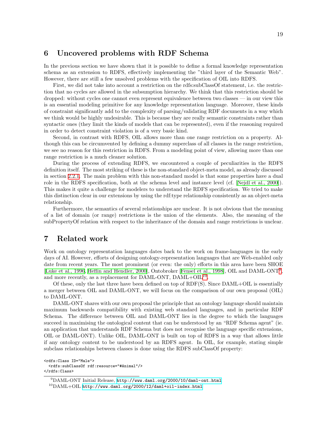## <span id="page-21-0"></span>6 Uncovered problems with RDF Schema

In the previous section we have shown that it is possible to define a formal knowledge representation schema as an extension to RDFS, effectively implementing the "third layer of the Semantic Web". However, there are still a few unsolved problems with the specification of OIL into RDFS.

First, we did not take into account a restriction on the rdfs:subClassOf statement, i.e. the restriction that no cycles are allowed in the subsumption hierarchy. We think that this restriction should be dropped: without cycles one cannot even represent equivalence between two classes — in our view this is an essential modeling primitive for any knowledge representation language. Moreover, these kinds of constraint significantly add to the complexity of parsing/validating RDF documents in a way which we think would be highly undesirable. This is because they are really semantic constraints rather than syntactic ones (they limit the kinds of models that can be represented), even if the reasoning required in order to detect constraint violation is of a very basic kind.

Second, in contrast with RDFS, OIL allows more than one range restriction on a property. Although this can be circumvented by defining a dummy superclass of all classes in the range restriction, we see no reason for this restriction in RDFS. From a modeling point of view, allowing more than one range restriction is a much cleaner solution.

During the process of extending RDFS, we encountered a couple of peculiarities in the RDFS definition itself. The most striking of these is the non-standard object-meta model, as already discussed in section [2.2.1](#page-5-2). The main problem with this non-standard model is that some properties have a dual role in the RDFS specification, both at the schema level and instance level (cf.[[Nejdl et al., 2000\]](#page-24-0)). This makes it quite a challenge for modelers to understand the RDFS specification. We tried to make this distinction clear in our extensions by using the rdf:type relationship consistently as an object-meta relationship.

Furthermore, the semantics of several relationships are unclear. It is not obvious that the meaning of a list of domain (or range) restrictions is the union of the elements. Also, the meaning of the subPropertyOf relation with respect to the inheritance of the domain and range restrictions is unclear.

## 7 Related work

Work on ontology representation languages dates back to the work on frame-languages in the early days of AI. However, efforts of designing ontology-representation languages that are Web-enabled only date from recent years. The most prominent (or even: the only) efforts in this area have been SHOE [[Luke et al., 1996](#page-24-4), [Heflin and Hendler, 2000](#page-23-10)],Ontobroker [[Fensel et al., 1998\]](#page-23-11), OIL and DAML-ONT<sup>[9](#page-21-1)</sup>, and more recently, as a replacement for DAML-ONT,  $DAML+OIL^{10}$  $DAML+OIL^{10}$  $DAML+OIL^{10}$ .

Of these, only the last three have been defined on top of RDF(S). Since DAML+OIL is essentially a merger between OIL and DAML-ONT, we will focus on the comparison of our own proposal (OIL) to DAML-ONT.

DAML-ONT shares with our own proposal the principle that an ontology language should maintain maximum backwards compatibility with existing web standard languages, and in particular RDF Schema. The difference between OIL and DAML-ONT lies in the degree to which the languages succeed in maximising the ontological content that can be understood by an "RDF Schema agent" (ie. an application that understands RDF Schema but does not recognise the language specific extensions, OIL or DAML-ONT). Unlike OIL, DAML-ONT is built on top of RDFS in a way that allows little if any ontology content to be understood by an RDFS agent. In OIL, for example, stating simple subclass relationships between classes is done using the RDFS subClassOf property:

<rdfs:Class ID="Male"> <rdfs:subClassOf rdf:resource="#Animal"/> </rdfs:Class>

<sup>9</sup>DAML-ONT Initial Release, <http://www.daml.org/2000/10/daml-ont.html>

<span id="page-21-2"></span><span id="page-21-1"></span> $^{10}$ DAML+OIL <http://www.daml.org/2000/12/daml+oil-index.html>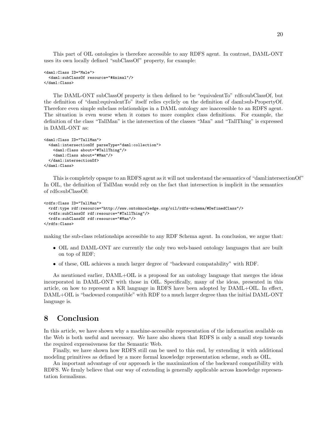This part of OIL ontologies is therefore accessible to any RDFS agent. In contrast, DAML-ONT uses its own locally defined "subClassOf" property, for example:

```
<daml:Class ID="Male">
 <daml:subClassOf resource="#Animal"/>
</daml:Class>
```
The DAML-ONT subClassOf property is then defined to be "equivalentTo" rdfs:subClassOf, but the definition of "daml:equivalentTo" itself relies cyclicly on the definition of daml:sub-PropertyOf. Therefore even simple subclass relationships in a DAML ontology are inaccessible to an RDFS agent. The situation is even worse when it comes to more complex class definitions. For example, the definition of the class "TallMan" is the intersection of the classes "Man" and "TallThing" is expressed in DAML-ONT as:

```
<daml:Class ID="TallMan">
  <daml:intersectionOf parseType="daml:collection">
    <daml:Class about="#TallThing"/>
    <daml:Class about="#Man"/>
  </daml:intersectionOf>
</daml:Class>
```
This is completely opaque to an RDFS agent as it will not understand the semantics of "daml:intersectionOf" In OIL, the definition of TallMan would rely on the fact that intersection is implicit in the semantics of rdfs:subClassOf:

```
<rdfs:Class ID="TallMan">
 <rdf:type rdf:resource="http://www.ontoknowledge.org/oil/rdfs-schema/#DefinedClass"/>
 <rdfs:subClassOf rdf:resource="#TallThing"/>
 <rdfs:subClassOf rdf:resource="#Man"/>
</rdfs:Class>
```
making the sub-class relationships accessible to any RDF Schema agent. In conclusion, we argue that:

- OIL and DAML-ONT are currently the only two web-based ontology languages that are built on top of RDF;
- of these, OIL achieves a much larger degree of "backward compatability" with RDF.

As mentioned earlier, DAML+OIL is a proposal for an ontology language that merges the ideas incorporated in DAML-ONT with those in OIL. Specifically, many of the ideas, presented in this article, on how to represent a KR language in RDFS have been adopted by DAML+OIL. In effect, DAML+OIL is "backward compatible" with RDF to a much larger degree than the initial DAML-ONT language is.

## 8 Conclusion

In this article, we have shown why a machine-accessible representation of the information available on the Web is both useful and necessary. We have also shown that RDFS is only a small step towards the required expressiveness for the Semantic Web.

Finally, we have shown how RDFS still can be used to this end, by extending it with additional modeling primitives as defined by a more formal knowledge representation scheme, such as OIL.

An important advantage of our approach is the maximization of the backward compatibility with RDFS. We firmly believe that our way of extending is generally applicable across knowledge representation formalisms.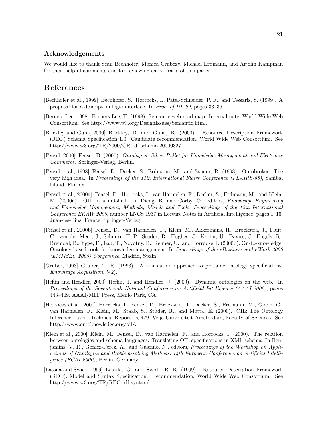#### Acknowledgements

We would like to thank Sean Bechhofer, Monica Crubezy, Michael Erdmann, and Arjohn Kampman for their helpful comments and for reviewing early drafts of this paper.

# References

- <span id="page-23-8"></span>[Bechhofer et al., 1999] Bechhofer, S., Horrocks, I., Patel-Schneider, P. F., and Tessaris, S. (1999). A proposal for a description logic interface. In Proc. of DL'99, pages 33–36.
- <span id="page-23-3"></span>[Berners-Lee, 1998] Berners-Lee, T. (1998). Semantic web road map. Internal note, World Wide Web Consortium. See http://www.w3.org/DesignIssues/Semantic.html.
- <span id="page-23-2"></span>[Brickley and Guha, 2000] Brickley, D. and Guha, R. (2000). Resource Description Framework (RDF) Schema Specification 1.0. Candidate recommendation, World Wide Web Consortium. See http://www.w3.org/TR/2000/CR-rdf-schema-20000327.
- <span id="page-23-0"></span>[Fensel, 2000] Fensel, D. (2000). Ontologies: Silver Bullet for Knowledge Management and Electronic Commerce. Springer-Verlag, Berlin.
- <span id="page-23-11"></span>[Fensel et al., 1998] Fensel, D., Decker, S., Erdmann, M., and Studer, R. (1998). Ontobroker: The very high idea. In Proceedings of the 11th International Flairs Conference (FLAIRS-98), Sanibal Island, Florida.
- <span id="page-23-5"></span>[Fensel et al., 2000a] Fensel, D., Horrocks, I., van Harmelen, F., Decker, S., Erdmann, M., and Klein, M. (2000a). OIL in a nutshell. In Dieng, R. and Corby, O., editors, Knowledge Engineering and Knowledge Management; Methods, Models and Tools, Proceedings of the 12th International Conference EKAW 2000, number LNCS 1937 in Lecture Notes in Artificial Intelligence, pages 1–16, Juan-les-Pins, France. Springer-Verlag.
- <span id="page-23-7"></span>[Fensel et al., 2000b] Fensel, D., van Harmelen, F., Klein, M., Akkermans, H., Broekstra, J., Fluit, C., van der Meer, J., Schnurr, H.-P., Studer, R., Hughes, J., Krohn, U., Davies, J., Engels, R., Bremdal, B., Ygge, F., Lau, T., Novotny, B., Reimer, U., and Horrocks, I. (2000b). On-to-knowledge: Ontology-based tools for knowledge management. In Proceedings of the eBusiness and eWork 2000 (EMMSEC 2000) Conference, Madrid, Spain.
- <span id="page-23-1"></span>[Gruber, 1993] Gruber, T. R. (1993). A translation approach to portable ontology specifications. Knowledge Acquisition, 5(2).
- <span id="page-23-10"></span>[Heflin and Hendler, 2000] Heflin, J. and Hendler, J. (2000). Dynamic ontologies on the web. In Proceedings of the Seventeenth National Conference on Artificial Intelligence (AAAI-2000), pages 443–449. AAAI/MIT Press, Menlo Park, CA.
- <span id="page-23-6"></span>[Horrocks et al., 2000] Horrocks, I., Fensel, D., Broekstra, J., Decker, S., Erdmann, M., Goble, C., van Harmelen, F., Klein, M., Staab, S., Studer, R., and Motta, E. (2000). OIL: The Ontology Inference Layer. Technical Report IR-479, Vrije Universiteit Amsterdam, Faculty of Sciences. See http://www.ontoknowledge.org/oil/.
- <span id="page-23-9"></span>[Klein et al., 2000] Klein, M., Fensel, D., van Harmelen, F., and Horrocks, I. (2000). The relation between ontologies and schema-languages: Translating OIL-specifications in XML-schema. In Benjamins, V. R., Gomez-Perez, A., and Guarino, N., editors, Proceedings of the Workshop on Applications of Ontologies and Problem-solving Methods, 14th European Conference on Artificial Intelligence (ECAI 2000), Berlin, Germany.
- <span id="page-23-4"></span>[Lassila and Swick, 1999] Lassila, O. and Swick, R. R. (1999). Resource Description Framework (RDF): Model and Syntax Specification. Recommendation, World Wide Web Consortium. See http://www.w3.org/TR/REC-rdf-syntax/.